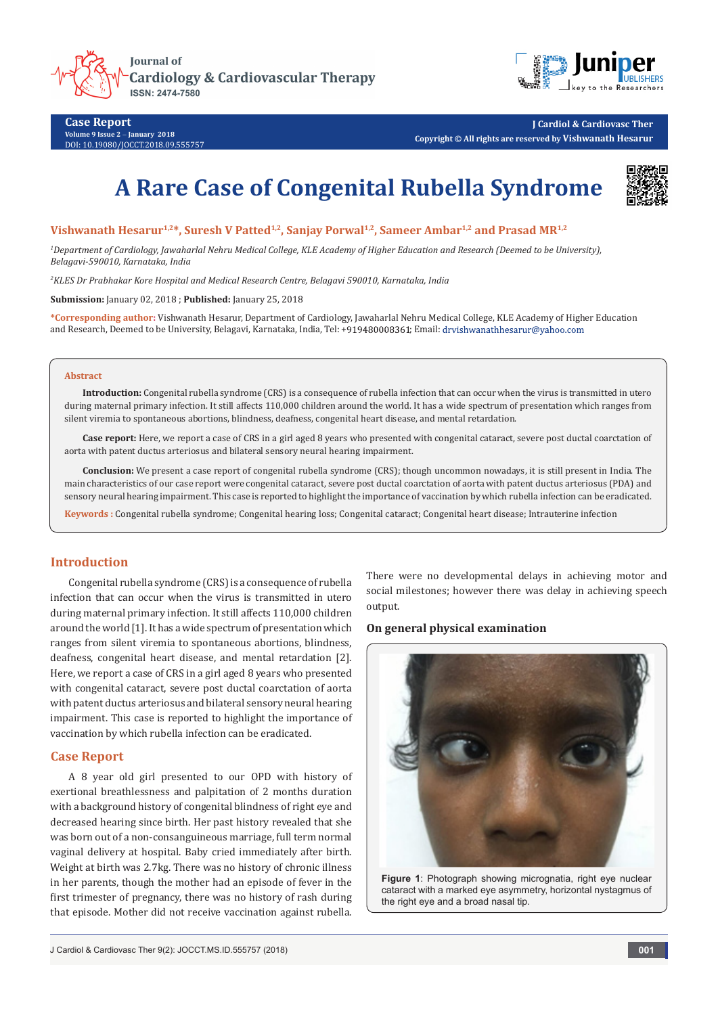



**J Cardiol & Cardiovasc Ther Copyright © All rights are reserved by Vishwanath Hesarur**

# **A Rare Case of Congenital Rubella Syndrome**



Vishwanath Hesarur<sup>1,2\*</sup>, Suresh V Patted<sup>1,2</sup>, Sanjay Porwal<sup>1,2</sup>, Sameer Ambar<sup>1,2</sup> and Prasad MR<sup>1,2</sup>

<sup>1</sup>Department of Cardiology, Jawaharlal Nehru Medical College, KLE Academy of Higher Education and Research (Deemed to be University), *Belagavi-590010, Karnataka, India*

*2 KLES Dr Prabhakar Kore Hospital and Medical Research Centre, Belagavi 590010, Karnataka, India*

**Submission:** January 02, 2018 ; **Published:** January 25, 2018

**\*Corresponding author:** Vishwanath Hesarur, Department of Cardiology, Jawaharlal Nehru Medical College, KLE Academy of Higher Education and Research, Deemed to be University, Belagavi, Karnataka, India, Tel: +919480008361; Email: drvishwanathhesarur@yahoo.com

#### **Abstract**

**Introduction:** Congenital rubella syndrome (CRS) is a consequence of rubella infection that can occur when the virus is transmitted in utero during maternal primary infection. It still affects 110,000 children around the world. It has a wide spectrum of presentation which ranges from silent viremia to spontaneous abortions, blindness, deafness, congenital heart disease, and mental retardation.

**Case report:** Here, we report a case of CRS in a girl aged 8 years who presented with congenital cataract, severe post ductal coarctation of aorta with patent ductus arteriosus and bilateral sensory neural hearing impairment.

**Conclusion:** We present a case report of congenital rubella syndrome (CRS); though uncommon nowadays, it is still present in India. The main characteristics of our case report were congenital cataract, severe post ductal coarctation of aorta with patent ductus arteriosus (PDA) and sensory neural hearing impairment. This case is reported to highlight the importance of vaccination by which rubella infection can be eradicated.

**Keywords :** Congenital rubella syndrome; Congenital hearing loss; Congenital cataract; Congenital heart disease; Intrauterine infection

# **Introduction**

Congenital rubella syndrome (CRS) is a consequence of rubella infection that can occur when the virus is transmitted in utero during maternal primary infection. It still affects 110,000 children around the world [1]. It has a wide spectrum of presentation which ranges from silent viremia to spontaneous abortions, blindness, deafness, congenital heart disease, and mental retardation [2]. Here, we report a case of CRS in a girl aged 8 years who presented with congenital cataract, severe post ductal coarctation of aorta with patent ductus arteriosus and bilateral sensory neural hearing impairment. This case is reported to highlight the importance of vaccination by which rubella infection can be eradicated.

## **Case Report**

A 8 year old girl presented to our OPD with history of exertional breathlessness and palpitation of 2 months duration with a background history of congenital blindness of right eye and decreased hearing since birth. Her past history revealed that she was born out of a non-consanguineous marriage, full term normal vaginal delivery at hospital. Baby cried immediately after birth. Weight at birth was 2.7kg. There was no history of chronic illness in her parents, though the mother had an episode of fever in the first trimester of pregnancy, there was no history of rash during that episode. Mother did not receive vaccination against rubella.

There were no developmental delays in achieving motor and social milestones; however there was delay in achieving speech output.

#### **On general physical examination**



**Figure 1**: Photograph showing micrognatia, right eye nuclear cataract with a marked eye asymmetry, horizontal nystagmus of the right eye and a broad nasal tip.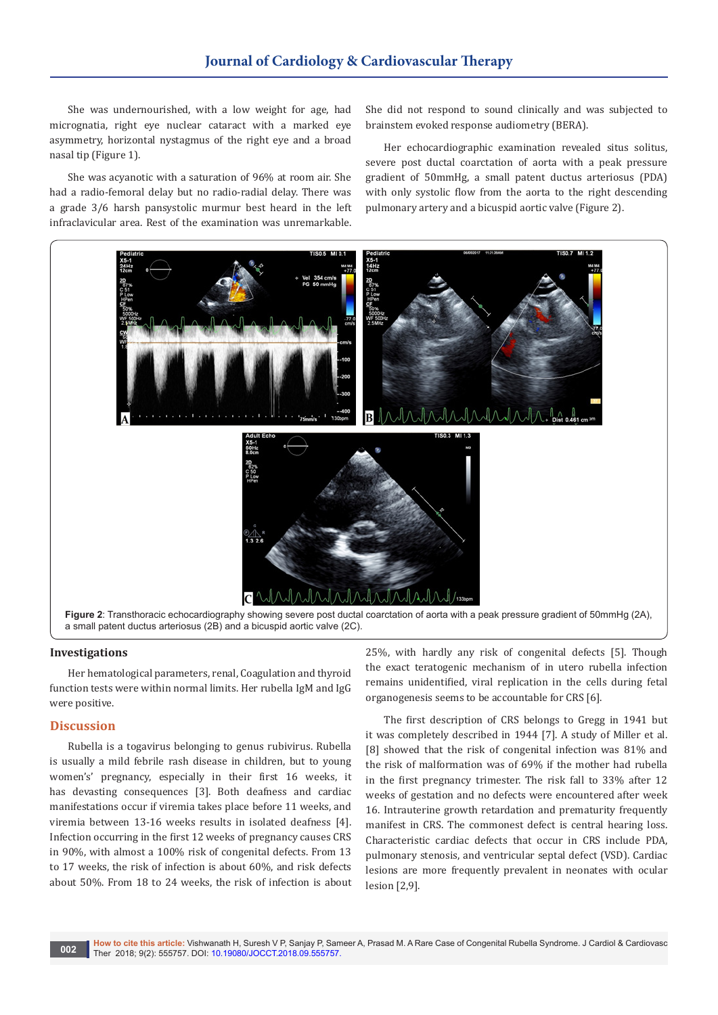She was undernourished, with a low weight for age, had micrognatia, right eye nuclear cataract with a marked eye asymmetry, horizontal nystagmus of the right eye and a broad nasal tip (Figure 1).

She was acyanotic with a saturation of 96% at room air. She had a radio-femoral delay but no radio-radial delay. There was a grade 3/6 harsh pansystolic murmur best heard in the left infraclavicular area. Rest of the examination was unremarkable.

She did not respond to sound clinically and was subjected to brainstem evoked response audiometry (BERA).

Her echocardiographic examination revealed situs solitus, severe post ductal coarctation of aorta with a peak pressure gradient of 50mmHg, a small patent ductus arteriosus (PDA) with only systolic flow from the aorta to the right descending pulmonary artery and a bicuspid aortic valve (Figure 2).



#### **Investigations**

Her hematological parameters, renal, Coagulation and thyroid function tests were within normal limits. Her rubella IgM and IgG were positive.

#### **Discussion**

Rubella is a togavirus belonging to genus rubivirus. Rubella is usually a mild febrile rash disease in children, but to young women's' pregnancy, especially in their first 16 weeks, it has devasting consequences [3]. Both deafness and cardiac manifestations occur if viremia takes place before 11 weeks, and viremia between 13-16 weeks results in isolated deafness [4]. Infection occurring in the first 12 weeks of pregnancy causes CRS in 90%, with almost a 100% risk of congenital defects. From 13 to 17 weeks, the risk of infection is about 60%, and risk defects about 50%. From 18 to 24 weeks, the risk of infection is about 25%, with hardly any risk of congenital defects [5]. Though the exact teratogenic mechanism of in utero rubella infection remains unidentified, viral replication in the cells during fetal organogenesis seems to be accountable for CRS [6].

The first description of CRS belongs to Gregg in 1941 but it was completely described in 1944 [7]. A study of Miller et al. [8] showed that the risk of congenital infection was 81% and the risk of malformation was of 69% if the mother had rubella in the first pregnancy trimester. The risk fall to 33% after 12 weeks of gestation and no defects were encountered after week 16. Intrauterine growth retardation and prematurity frequently manifest in CRS. The commonest defect is central hearing loss. Characteristic cardiac defects that occur in CRS include PDA, pulmonary stenosis, and ventricular septal defect (VSD). Cardiac lesions are more frequently prevalent in neonates with ocular lesion [2,9].